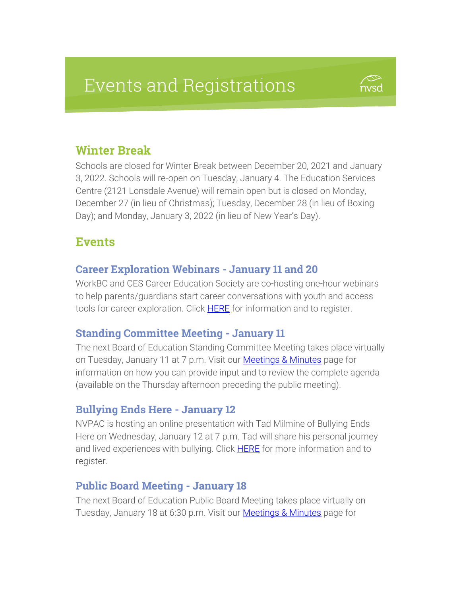# **Events and Registrations**



# Winter Break

Schools are closed for Winter Break between December 20, 2021 and January 3, 2022. Schools will re-open on Tuesday, January 4. The Education Services Centre (2121 Lonsdale Avenue) will remain open but is closed on Monday, December 27 (in lieu of Christmas); Tuesday, December 28 (in lieu of Boxing Day); and Monday, January 3, 2022 (in lieu of New Year's Day).

## Events

## Career Exploration Webinars - January 11 and 20

WorkBC and CES Career Education Society are co-hosting one-hour webinars to help parents/guardians start career conversations with youth and access tools for career exploration. Click **HERE** for information and to register.

#### Standing Committee Meeting - January 11

The next Board of Education Standing Committee Meeting takes place virtually on Tuesday, January 11 at 7 p.m. Visit our **Meetings & Minutes** page for information on how you can provide input and to review the complete agenda (available on the Thursday afternoon preceding the public meeting).

#### Bullying Ends Here - January 12

NVPAC is hosting an online presentation with Tad Milmine of Bullying Ends Here on Wednesday, January 12 at 7 p.m. Tad will share his personal journey and lived experiences with bullying. Click **HERE** for more information and to register.

#### Public Board Meeting - January 18

The next Board of Education Public Board Meeting takes place virtually on Tuesday, January 18 at 6:30 p.m. Visit our [Meetings & Minutes](https://www.sd44.ca/Board/Meetings/Pages/default.aspx#/=) page for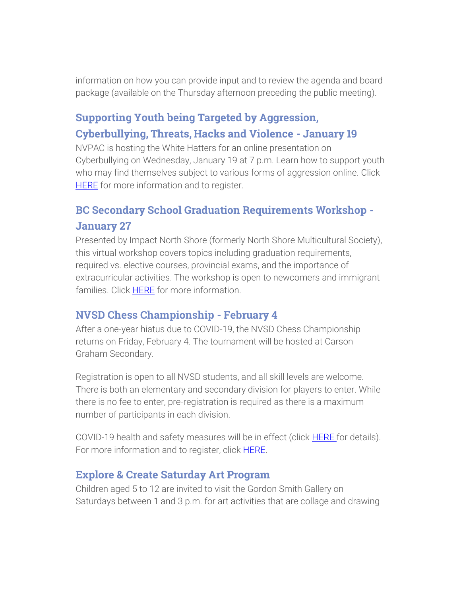information on how you can provide input and to review the agenda and board package (available on the Thursday afternoon preceding the public meeting).

# Supporting Youth being Targeted by Aggression, Cyberbullying, Threats, Hacks and Violence - January 19

NVPAC is hosting the White Hatters for an online presentation on Cyberbullying on Wednesday, January 19 at 7 p.m. Learn how to support youth who may find themselves subject to various forms of aggression online. Click **[HERE](https://www.eventbrite.ca/e/cyber-bullying-tickets-184112494427)** for more information and to register.

# BC Secondary School Graduation Requirements Workshop - January 27

Presented by Impact North Shore (formerly North Shore Multicultural Society), this virtual workshop covers topics including graduation requirements, required vs. elective courses, provincial exams, and the importance of extracurricular activities. The workshop is open to newcomers and immigrant families. Click [HERE](https://impactnorthshore.ca/our-workshops/bc-secondary-school-graduation-requirements/) for more information.

#### NVSD Chess Championship - February 4

After a one-year hiatus due to COVID-19, the NVSD Chess Championship returns on Friday, February 4. The tournament will be hosted at Carson Graham Secondary.

Registration is open to all NVSD students, and all skill levels are welcome. There is both an elementary and secondary division for players to enter. While there is no fee to enter, pre-registration is required as there is a maximum number of participants in each division.

COVID-19 health and safety measures will be in effect (click **HERE** for details). For more information and to register, click [HERE.](https://my44.sd44.ca/group/s5sqbj3/Pages/default.aspx#/=)

#### Explore & Create Saturday Art Program

Children aged 5 to 12 are invited to visit the Gordon Smith Gallery on Saturdays between 1 and 3 p.m. for art activities that are collage and drawing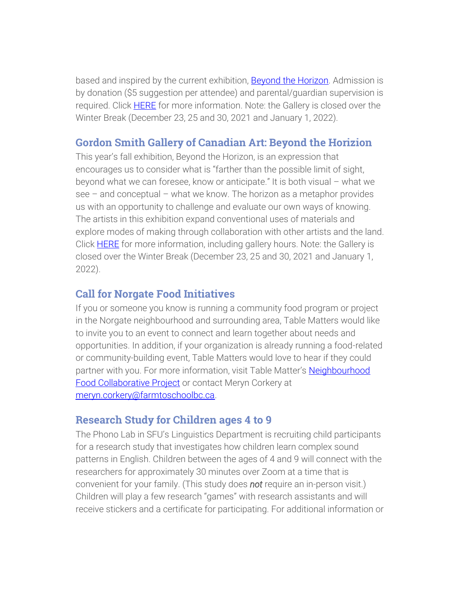based and inspired by the current exhibition, [Beyond the Horizon.](https://www.sd44.ca/school/artistsforkids/Visit/Exhibitions/Pages/default.aspx#/=) Admission is by donation (\$5 suggestion per attendee) and parental/guardian supervision is required. Click [HERE](https://smithfoundation.co/engage/public-programs/) for more information. Note: the Gallery is closed over the Winter Break (December 23, 25 and 30, 2021 and January 1, 2022).

## Gordon Smith Gallery of Canadian Art: Beyond the Horizion

This year's fall exhibition, Beyond the Horizon, is an expression that encourages us to consider what is "farther than the possible limit of sight, beyond what we can foresee, know or anticipate." It is both visual – what we see – and conceptual – what we know. The horizon as a metaphor provides us with an opportunity to challenge and evaluate our own ways of knowing. The artists in this exhibition expand conventional uses of materials and explore modes of making through collaboration with other artists and the land. Click **HERE** for more information, including gallery hours. Note: the Gallery is closed over the Winter Break (December 23, 25 and 30, 2021 and January 1, 2022).

#### Call for Norgate Food Initiatives

If you or someone you know is running a community food program or project in the Norgate neighbourhood and surrounding area, Table Matters would like to invite you to an event to connect and learn together about needs and opportunities. In addition, if your organization is already running a food-related or community-building event, Table Matters would love to hear if they could partner with you. For more information, visit Table Matter's [Neighbourhood](https://tablematters.ca/neighbourhood-food-collaborative/)  [Food Collaborative Project](https://tablematters.ca/neighbourhood-food-collaborative/) or contact Meryn Corkery at [meryn.corkery@farmtoschoolbc.ca.](mailto:meryn.corkery@farmtoschoolbc.ca)

#### Research Study for Children ages 4 to 9

The Phono Lab in SFU's Linguistics Department is recruiting child participants for a research study that investigates how children learn complex sound patterns in English. Children between the ages of 4 and 9 will connect with the researchers for approximately 30 minutes over Zoom at a time that is convenient for your family. (This study does *not* require an in-person visit.) Children will play a few research "games" with research assistants and will receive stickers and a certificate for participating. For additional information or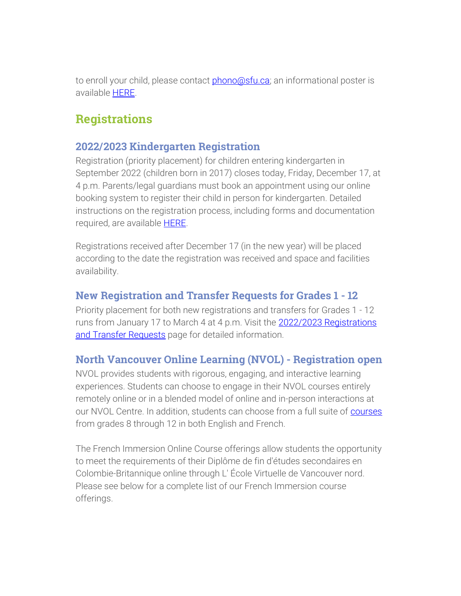to enroll your child, please contact [phono@sfu.ca;](mailto:phono@sfu.ca) an informational poster is available [HERE.](https://www.sd44.ca/parents/Documents/SFU_Research_Recruitment_poster_4-9.pdf)

# **Registrations**

#### 2022/2023 Kindergarten Registration

Registration (priority placement) for children entering kindergarten in September 2022 (children born in 2017) closes today, Friday, December 17, at 4 p.m. Parents/legal guardians must book an appointment using our online booking system to register their child in person for kindergarten. Detailed instructions on the registration process, including forms and documentation required, are available **HERE**.

Registrations received after December 17 (in the new year) will be placed according to the date the registration was received and space and facilities availability.

#### New Registration and Transfer Requests for Grades 1 - 12

Priority placement for both new registrations and transfers for Grades 1 - 12 runs from January 17 to March 4 at 4 p.m. Visit the 2022/2023 Registrations [and Transfer Requests](https://www.sd44.ca/Schools/StudentRegistration/2022-2023RegistrationsTransferRequests/Pages/default.aspx#/=) page for detailed information.

#### North Vancouver Online Learning (NVOL) - Registration open

NVOL provides students with rigorous, engaging, and interactive learning experiences. Students can choose to engage in their NVOL courses entirely remotely online or in a blended model of online and in-person interactions at our NVOL Centre. In addition, students can choose from a full suite of [courses](https://www.sd44.ca/school/onlinelearning/ProgramsServices/Courses/Pages/default.aspx#/=) from grades 8 through 12 in both English and French.

The French Immersion Online Course offerings allow students the opportunity to meet the requirements of their Diplôme de fin d'études secondaires en Colombie-Britannique online through L' École Virtuelle de Vancouver nord. Please see below for a complete list of our French Immersion course offerings.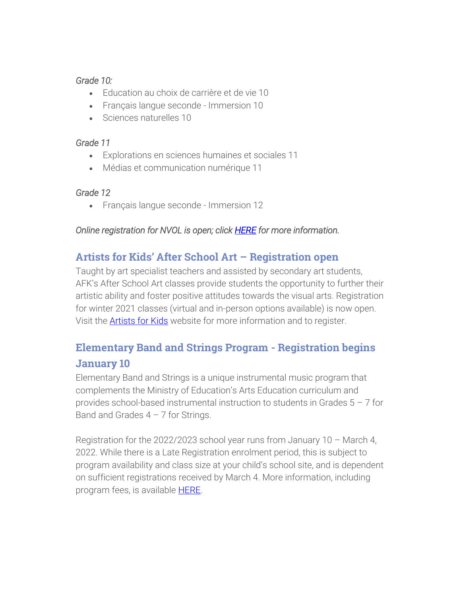#### *Grade 10:*

- **Education au choix de carrière et de vie 10**
- Français langue seconde Immersion 10
- Sciences naturelles 10

#### *Grade 11*

- Explorations en sciences humaines et sociales 11
- Médias et communication numérique 11

#### *Grade 12*

• Français langue seconde - Immersion 12

#### *Online registration for NVOL is open; clic[k HERE](https://www.sd44.ca/school/onlinelearning/About/registration/Pages/default.aspx#/=) for more information.*

## Artists for Kids' After School Art – Registration open

Taught by art specialist teachers and assisted by secondary art students, AFK's After School Art classes provide students the opportunity to further their artistic ability and foster positive attitudes towards the visual arts. Registration for winter 2021 classes (virtual and in-person options available) is now open. Visit the **Artists for Kids** website for more information and to register.

# Elementary Band and Strings Program - Registration begins January 10

Elementary Band and Strings is a unique instrumental music program that complements the Ministry of Education's Arts Education curriculum and provides school-based instrumental instruction to students in Grades 5 – 7 for Band and Grades  $4 - 7$  for Strings.

Registration for the 2022/2023 school year runs from January 10 – March 4, 2022. While there is a Late Registration enrolment period, this is subject to program availability and class size at your child's school site, and is dependent on sufficient registrations received by March 4. More information, including program fees, is available [HERE.](https://www.sd44.ca/ProgramsServices/BandStrings/Pages/default.aspx#/=)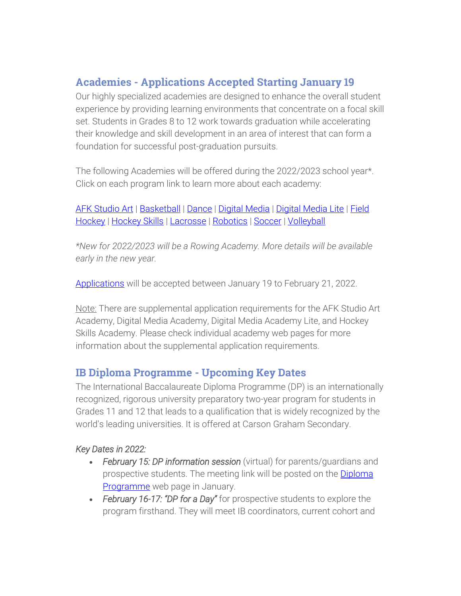## Academies - Applications Accepted Starting January 19

Our highly specialized academies are designed to enhance the overall student experience by providing learning environments that concentrate on a focal skill set. Students in Grades 8 to 12 work towards graduation while accelerating their knowledge and skill development in an area of interest that can form a foundation for successful post-graduation pursuits.

The following Academies will be offered during the 2022/2023 school year\*. Click on each program link to learn more about each academy:

[AFK Studio Art](https://www.sd44.ca/ProgramsServices/Academies/AFKAcademy/Pages/default.aspx#/=) | [Basketball](https://www.sd44.ca/ProgramsServices/Academies/Basketball/Pages/default.aspx#/=) | [Dance](https://www.sd44.ca/ProgramsServices/Academies/Dance/Pages/default.aspx#/=) | [Digital Media](https://www.sd44.ca/ProgramsServices/Academies/DigitalMedia/Pages/default.aspx#/=) | [Digital Media Lite](https://www.sd44.ca/ProgramsServices/Academies/Digital%20Media%20Academy%20Lite/Pages/default.aspx#/=) | Field [Hockey](https://www.sd44.ca/ProgramsServices/Academies/FieldHockey/Pages/default.aspx#/=) | [Hockey Skills](https://www.sd44.ca/ProgramsServices/Academies/HockeyAcademy/Pages/default.aspx#/=) | [Lacrosse](https://www.sd44.ca/ProgramsServices/Academies/lacrosse-academy/Pages/default.aspx#/=) | [Robotics](https://www.sd44.ca/ProgramsServices/Academies/Robotics%2c%20Mechatronics%20%26%20Digital%20Fabrication/Pages/default.aspx#/=) | [Soccer](https://www.sd44.ca/ProgramsServices/Academies/SoccerAcademy/Pages/default.aspx#/=) | [Volleyball](https://www.sd44.ca/ProgramsServices/Academies/VolleyballAcademy/Pages/default.aspx#/=)

*\*New for 2022/2023 will be a Rowing Academy. More details will be available early in the new year.* 

[Applications](https://www.sd44.ca/ProgramsServices/Academies/applicationswithdrawals/Pages/default.aspx#/=) will be accepted between January 19 to February 21, 2022.

Note: There are supplemental application requirements for the AFK Studio Art Academy, Digital Media Academy, Digital Media Academy Lite, and Hockey Skills Academy. Please check individual academy web pages for more information about the supplemental application requirements.

## IB Diploma Programme - Upcoming Key Dates

The International Baccalaureate Diploma Programme (DP) is an internationally recognized, rigorous university preparatory two-year program for students in Grades 11 and 12 that leads to a qualification that is widely recognized by the world's leading universities. It is offered at Carson Graham Secondary.

#### *Key Dates in 2022:*

- *February 15: DP information session* (virtual) for parents/guardians and prospective students. The meeting link will be posted on the **Diploma** [Programme](https://www.sd44.ca/school/carson/diplomaprogramme/Pages/Default.aspx#/=) web page in January.
- *February 16-17: "DP for a Day"* for prospective students to explore the program firsthand. They will meet IB coordinators, current cohort and